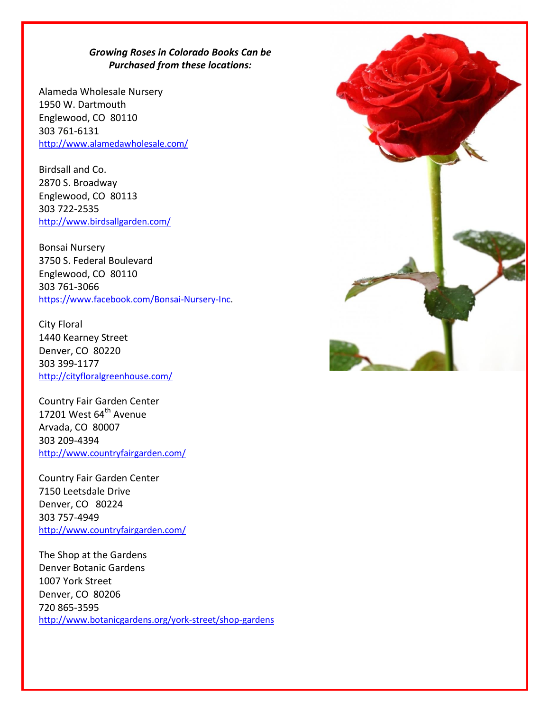## *Growing Roses in Colorado Books Can be Purchased from these locations:*

Alameda Wholesale Nursery 1950 W. Dartmouth Englewood, CO 80110 303 761-6131 <http://www.alamedawholesale.com/>

Birdsall and Co. 2870 S. Broadway Englewood, CO 80113 303 722-2535 <http://www.birdsallgarden.com/>

Bonsai Nursery 3750 S. Federal Boulevard Englewood, CO 80110 303 761-3066 [https://www.facebook.com/Bonsai-Nursery-Inc.](https://www.facebook.com/Bonsai-Nursery-Inc)

City Floral 1440 Kearney Street Denver, CO 80220 303 399-1177 <http://cityfloralgreenhouse.com/>

Country Fair Garden Center 17201 West  $64^{\text{th}}$  Avenue Arvada, CO 80007 303 209-4394 <http://www.countryfairgarden.com/>

Country Fair Garden Center 7150 Leetsdale Drive Denver, CO 80224 303 757-4949 <http://www.countryfairgarden.com/>

The Shop at the Gardens Denver Botanic Gardens 1007 York Street Denver, CO 80206 720 865-3595 <http://www.botanicgardens.org/york-street/shop-gardens>

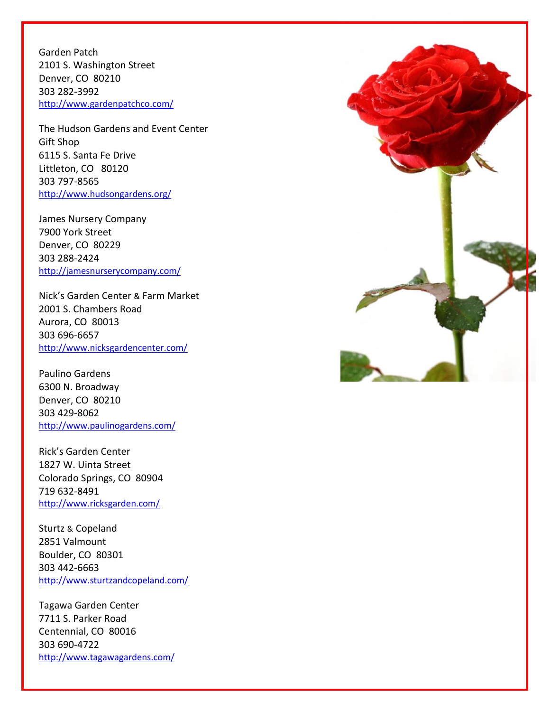Garden Patch 2101 S. Washington Street Denver, CO 80210 303 282-3992 <http://www.gardenpatchco.com/>

The Hudson Gardens and Event Center Gift Shop 6115 S. Santa Fe Drive Littleton, CO 80120 303 797-8565 <http://www.hudsongardens.org/>

James Nursery Company 7900 York Street Denver, CO 80229 303 288-2424 <http://jamesnurserycompany.com/>

Nick's Garden Center & Farm Market 2001 S. Chambers Road Aurora, CO 80013 303 696-6657 <http://www.nicksgardencenter.com/>

Paulino Gardens 6300 N. Broadway Denver, CO 80210 303 429-8062 <http://www.paulinogardens.com/>

Rick's Garden Center 1827 W. Uinta Street Colorado Springs, CO 80904 719 632-8491 <http://www.ricksgarden.com/>

Sturtz & Copeland 2851 Valmount Boulder, CO 80301 303 442-6663 <http://www.sturtzandcopeland.com/>

Tagawa Garden Center 7711 S. Parker Road Centennial, CO 80016 303 690-4722 [http://www.tagawagardens.com/](http://www.tagawagardens.com/home-tagawa-gardens.html)